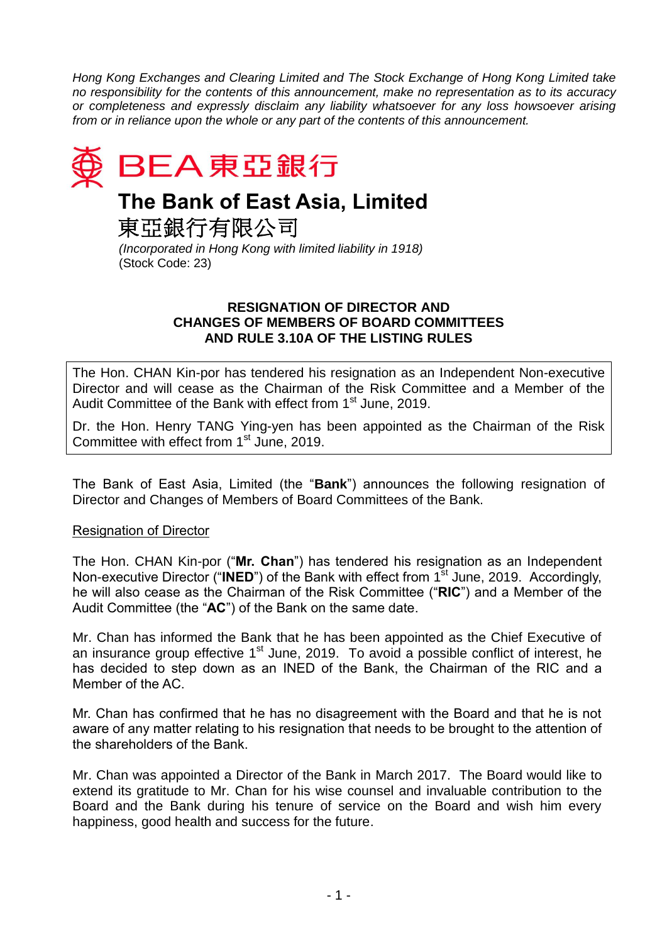*Hong Kong Exchanges and Clearing Limited and The Stock Exchange of Hong Kong Limited take no responsibility for the contents of this announcement, make no representation as to its accuracy or completeness and expressly disclaim any liability whatsoever for any loss howsoever arising from or in reliance upon the whole or any part of the contents of this announcement.*



# **The Bank of East Asia, Limited**

東亞銀行有限公司

*(Incorporated in Hong Kong with limited liability in 1918)* (Stock Code: 23)

### **RESIGNATION OF DIRECTOR AND CHANGES OF MEMBERS OF BOARD COMMITTEES AND RULE 3.10A OF THE LISTING RULES**

The Hon. CHAN Kin-por has tendered his resignation as an Independent Non-executive Director and will cease as the Chairman of the Risk Committee and a Member of the Audit Committee of the Bank with effect from 1<sup>st</sup> June, 2019.

Dr. the Hon. Henry TANG Ying-yen has been appointed as the Chairman of the Risk Committee with effect from 1<sup>st</sup> June, 2019.

The Bank of East Asia, Limited (the "**Bank**") announces the following resignation of Director and Changes of Members of Board Committees of the Bank.

## Resignation of Director

The Hon. CHAN Kin-por ("**Mr. Chan**") has tendered his resignation as an Independent Non-executive Director ("INED") of the Bank with effect from 1<sup>st</sup> June, 2019. Accordingly, he will also cease as the Chairman of the Risk Committee ("**RIC**") and a Member of the Audit Committee (the "**AC**") of the Bank on the same date.

Mr. Chan has informed the Bank that he has been appointed as the Chief Executive of an insurance group effective 1<sup>st</sup> June, 2019. To avoid a possible conflict of interest, he has decided to step down as an INED of the Bank, the Chairman of the RIC and a Member of the AC.

Mr. Chan has confirmed that he has no disagreement with the Board and that he is not aware of any matter relating to his resignation that needs to be brought to the attention of the shareholders of the Bank.

Mr. Chan was appointed a Director of the Bank in March 2017. The Board would like to extend its gratitude to Mr. Chan for his wise counsel and invaluable contribution to the Board and the Bank during his tenure of service on the Board and wish him every happiness, good health and success for the future.